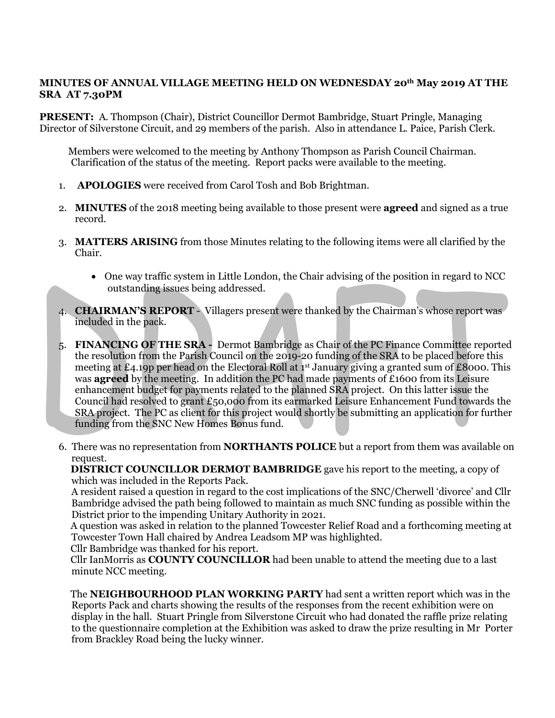## **MINUTES OF ANNUAL VILLAGE MEETING HELD ON WEDNESDAY 20th May 2019 AT THE SRA AT 7.30PM**

**PRESENT:** A. Thompson (Chair), District Councillor Dermot Bambridge, Stuart Pringle, Managing Director of Silverstone Circuit, and 29 members of the parish. Also in attendance L. Paice, Parish Clerk.

 Members were welcomed to the meeting by Anthony Thompson as Parish Council Chairman. Clarification of the status of the meeting. Report packs were available to the meeting.

- 1. **APOLOGIES** were received from Carol Tosh and Bob Brightman.
- 2. **MINUTES** of the 2018 meeting being available to those present were **agreed** and signed as a true record.
- 3. **MATTERS ARISING** from those Minutes relating to the following items were all clarified by the Chair.
	- One way traffic system in Little London, the Chair advising of the position in regard to NCC outstanding issues being addressed.
- 4. **CHAIRMAN'S REPORT** Villagers present were thanked by the Chairman's whose report was included in the pack.
- 5. **FINANCING OF THE SRA -** Dermot Bambridge as Chair of the PC Finance Committee reported the resolution from the Parish Council on the 2019-20 funding of the SRA to be placed before this meeting at £4.19p per head on the Electoral Roll at 1<sup>st</sup> January giving a granted sum of £8000. This was **agreed** by the meeting. In addition the PC had made payments of £1600 from its Leisure enhancement budget for payments related to the planned SRA project. On this latter issue the Council had resolved to grant £50,000 from its earmarked Leisure Enhancement Fund towards the SRA project. The PC as client for this project would shortly be submitting an application for further funding from the SNC New Homes Bonus fund.
- 6. There was no representation from **NORTHANTS POLICE** but a report from them was available on request.

 **DISTRICT COUNCILLOR DERMOT BAMBRIDGE** gave his report to the meeting, a copy of which was included in the Reports Pack.

A resident raised a question in regard to the cost implications of the SNC/Cherwell 'divorce' and Cllr Bambridge advised the path being followed to maintain as much SNC funding as possible within the District prior to the impending Unitary Authority in 2021.

 A question was asked in relation to the planned Towcester Relief Road and a forthcoming meeting at Towcester Town Hall chaired by Andrea Leadsom MP was highlighted.

Cllr Bambridge was thanked for his report.

 Cllr IanMorris as **COUNTY COUNCILLOR** had been unable to attend the meeting due to a last minute NCC meeting.

 The **NEIGHBOURHOOD PLAN WORKING PARTY** had sent a written report which was in the Reports Pack and charts showing the results of the responses from the recent exhibition were on display in the hall. Stuart Pringle from Silverstone Circuit who had donated the raffle prize relating to the questionnaire completion at the Exhibition was asked to draw the prize resulting in Mr Porter from Brackley Road being the lucky winner.